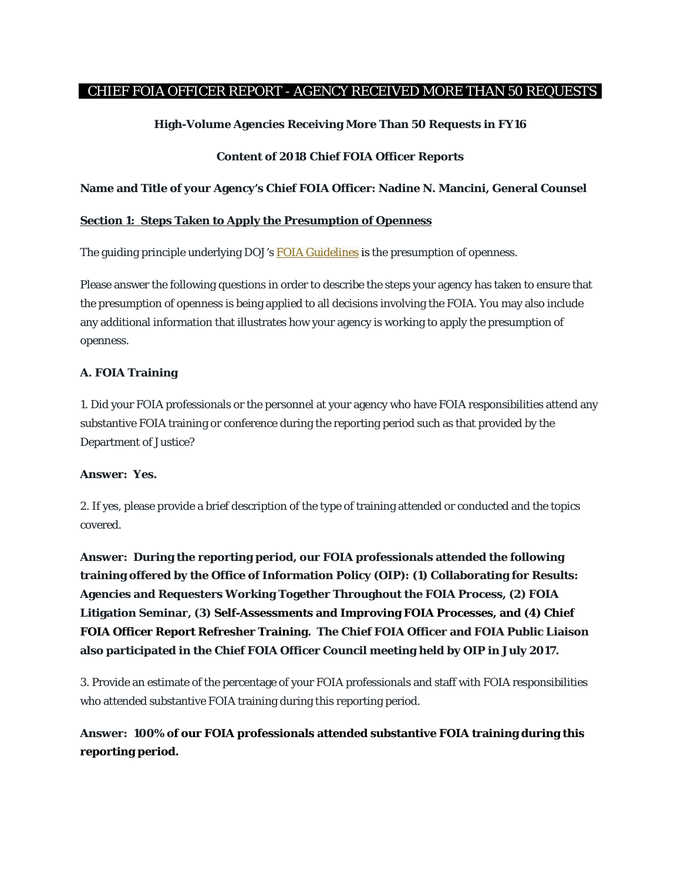## CHIEF FOIA OFFICER REPORT - AGENCY RECEIVED MORE THAN 50 REQUESTS

## **High-Volume Agencies Receiving More Than 50 Requests in FY16**

### **Content of 2018 Chief FOIA Officer Reports**

### **Name and Title of your Agency's Chief FOIA Officer: Nadine N. Mancini, General Counsel**

#### **Section 1: Steps Taken to Apply the Presumption of Openness**

The guiding principle underlying DOJ's **[FOIA Guidelines](http://justice.gov/ag/foia-memo-march2009.pdf)** is the presumption of openness.

Please answer the following questions in order to describe the steps your agency has taken to ensure that the presumption of openness is being applied to all decisions involving the FOIA. You may also include any additional information that illustrates how your agency is working to apply the presumption of openness.

## **A. FOIA Training**

1. Did your FOIA professionals or the personnel at your agency who have FOIA responsibilities attend any substantive FOIA training or conference during the reporting period such as that provided by the Department of Justice?

#### **Answer: Yes.**

2. If yes, please provide a brief description of the type of training attended or conducted and the topics covered.

**Answer: During the reporting period, our FOIA professionals attended the following training offered by the Office of Information Policy (OIP): (1) Collaborating for Results: Agencies and Requesters Working Together Throughout the FOIA Process, (2) FOIA Litigation Seminar, (3) Self-Assessments and Improving FOIA Processes, and (4) Chief FOIA Officer Report Refresher Training. The Chief FOIA Officer and FOIA Public Liaison also participated in the Chief FOIA Officer Council meeting held by OIP in July 2017.**

3. Provide an estimate of the percentage of your FOIA professionals and staff with FOIA responsibilities who attended substantive FOIA training during this reporting period.

## **Answer: 100% of our FOIA professionals attended substantive FOIA training during this reporting period.**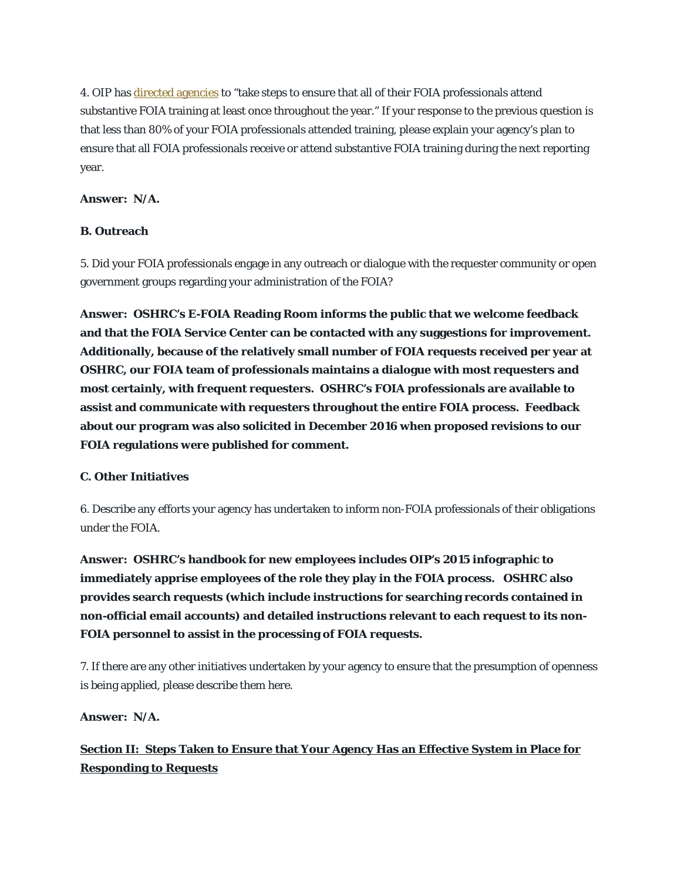4. OIP has [directed agencies](http://www.justice.gov/oip/oip-guidance-9) to "take steps to ensure that all of their FOIA professionals attend substantive FOIA training at least once throughout the year." If your response to the previous question is that less than 80% of your FOIA professionals attended training, please explain your agency's plan to ensure that all FOIA professionals receive or attend substantive FOIA training during the next reporting year.

## **Answer: N/A.**

### **B. Outreach**

5. Did your FOIA professionals engage in any outreach or dialogue with the requester community or open government groups regarding your administration of the FOIA?

**Answer: OSHRC's E-FOIA Reading Room informs the public that we welcome feedback and that the FOIA Service Center can be contacted with any suggestions for improvement. Additionally, because of the relatively small number of FOIA requests received per year at OSHRC, our FOIA team of professionals maintains a dialogue with most requesters and most certainly, with frequent requesters. OSHRC's FOIA professionals are available to assist and communicate with requesters throughout the entire FOIA process. Feedback about our program was also solicited in December 2016 when proposed revisions to our FOIA regulations were published for comment.** 

## **C. Other Initiatives**

6. Describe any efforts your agency has undertaken to inform non-FOIA professionals of their obligations under the FOIA.

**Answer: OSHRC's handbook for new employees includes OIP's 2015 infographic to immediately apprise employees of the role they play in the FOIA process. OSHRC also provides search requests (which include instructions for searching records contained in non-official email accounts) and detailed instructions relevant to each request to its non-FOIA personnel to assist in the processing of FOIA requests.** 

7. If there are any other initiatives undertaken by your agency to ensure that the presumption of openness is being applied, please describe them here.

## **Answer: N/A.**

# **Section II: Steps Taken to Ensure that Your Agency Has an Effective System in Place for Responding to Requests**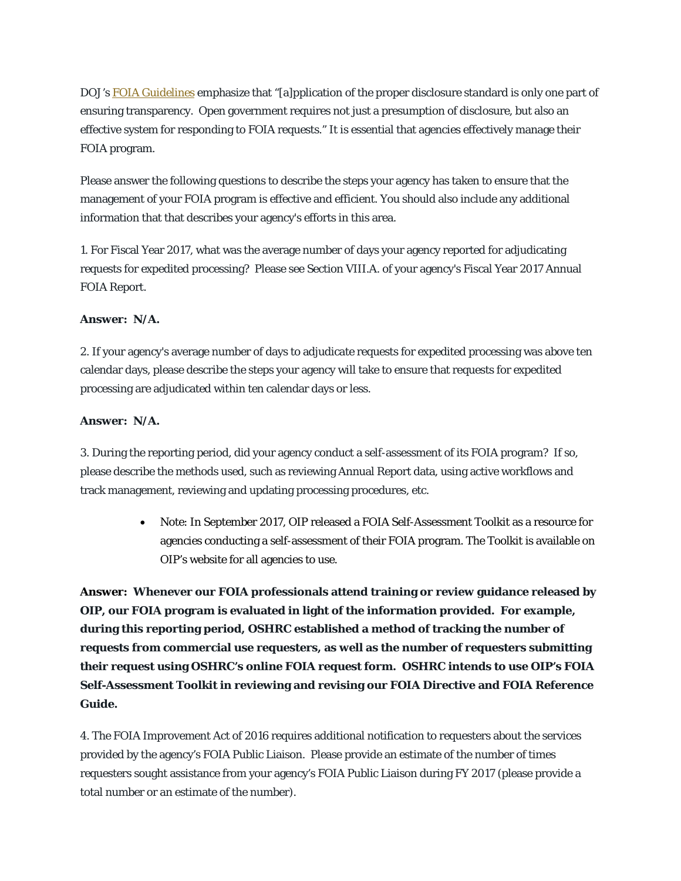DOJ's [FOIA Guidelines](http://justice.gov/ag/foia-memo-march2009.pdf) emphasize that "[a]pplication of the proper disclosure standard is only one part of ensuring transparency. Open government requires not just a presumption of disclosure, but also an effective system for responding to FOIA requests." It is essential that agencies effectively manage their FOIA program.

Please answer the following questions to describe the steps your agency has taken to ensure that the management of your FOIA program is effective and efficient. You should also include any additional information that that describes your agency's efforts in this area.

1. For Fiscal Year 2017, what was the average number of days your agency reported for adjudicating requests for expedited processing? Please see Section VIII.A. of your agency's Fiscal Year 2017 Annual FOIA Report.

## **Answer: N/A.**

2. If your agency's average number of days to adjudicate requests for expedited processing was above ten calendar days, please describe the steps your agency will take to ensure that requests for expedited processing are adjudicated within ten calendar days or less.

## **Answer: N/A.**

3. During the reporting period, did your agency conduct a self-assessment of its FOIA program? If so, please describe the methods used, such as reviewing Annual Report data, using active workflows and track management, reviewing and updating processing procedures, etc.

> • Note: In September 2017, OIP released a FOIA Self-Assessment Toolkit as a resource for agencies conducting a self-assessment of their FOIA program. The Toolkit is available on OIP's website for all agencies to use.

**Answer: Whenever our FOIA professionals attend training or review guidance released by OIP, our FOIA program is evaluated in light of the information provided. For example, during this reporting period, OSHRC established a method of tracking the number of requests from commercial use requesters, as well as the number of requesters submitting their request using OSHRC's online FOIA request form. OSHRC intends to use OIP's FOIA Self-Assessment Toolkit in reviewing and revising our FOIA Directive and FOIA Reference Guide.**

4. The FOIA Improvement Act of 2016 requires additional notification to requesters about the services provided by the agency's FOIA Public Liaison. Please provide an estimate of the number of times requesters sought assistance from your agency's FOIA Public Liaison during FY 2017 (please provide a total number or an estimate of the number).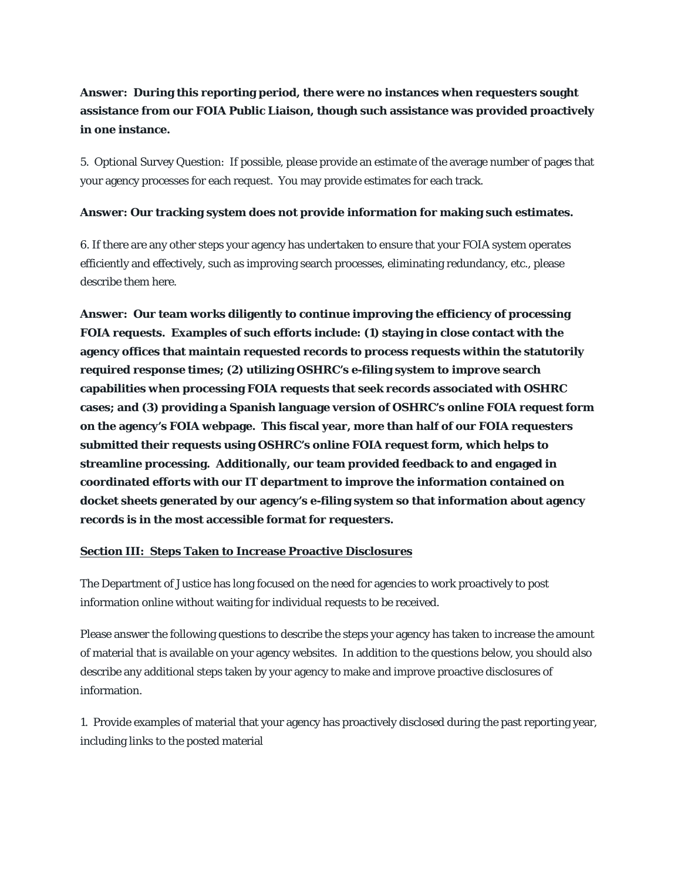# **Answer: During this reporting period, there were no instances when requesters sought assistance from our FOIA Public Liaison, though such assistance was provided proactively in one instance.**

5. Optional Survey Question: If possible, please provide an estimate of the average number of pages that your agency processes for each request. You may provide estimates for each track.

## **Answer: Our tracking system does not provide information for making such estimates.**

6. If there are any other steps your agency has undertaken to ensure that your FOIA system operates efficiently and effectively, such as improving search processes, eliminating redundancy, etc., please describe them here.

**Answer: Our team works diligently to continue improving the efficiency of processing FOIA requests. Examples of such efforts include: (1) staying in close contact with the agency offices that maintain requested records to process requests within the statutorily required response times; (2) utilizing OSHRC's e-filing system to improve search capabilities when processing FOIA requests that seek records associated with OSHRC cases; and (3) providing a Spanish language version of OSHRC's online FOIA request form on the agency's FOIA webpage. This fiscal year, more than half of our FOIA requesters submitted their requests using OSHRC's online FOIA request form, which helps to streamline processing. Additionally, our team provided feedback to and engaged in coordinated efforts with our IT department to improve the information contained on docket sheets generated by our agency's e-filing system so that information about agency records is in the most accessible format for requesters.** 

## **Section III: Steps Taken to Increase Proactive Disclosures**

The Department of Justice has long focused on the need for agencies to work proactively to post information online without waiting for individual requests to be received.

Please answer the following questions to describe the steps your agency has taken to increase the amount of material that is available on your agency websites. In addition to the questions below, you should also describe any additional steps taken by your agency to make and improve proactive disclosures of information.

1. Provide examples of material that your agency has proactively disclosed during the past reporting year, including links to the posted material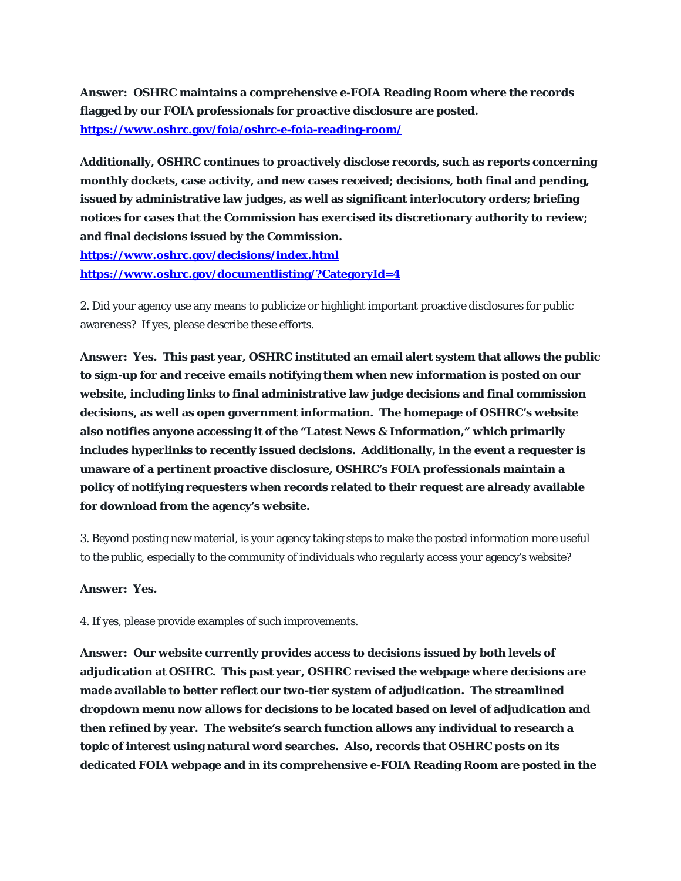**Answer: OSHRC maintains a comprehensive e-FOIA Reading Room where the records flagged by our FOIA professionals for proactive disclosure are posted. <https://www.oshrc.gov/foia/oshrc-e-foia-reading-room/>**

**Additionally, OSHRC continues to proactively disclose records, such as reports concerning monthly dockets, case activity, and new cases received; decisions, both final and pending, issued by administrative law judges, as well as significant interlocutory orders; briefing notices for cases that the Commission has exercised its discretionary authority to review; and final decisions issued by the Commission. <https://www.oshrc.gov/decisions/index.html> <https://www.oshrc.gov/documentlisting/?CategoryId=4>**

2. Did your agency use any means to publicize or highlight important proactive disclosures for public awareness? If yes, please describe these efforts.

**Answer: Yes. This past year, OSHRC instituted an email alert system that allows the public to sign-up for and receive emails notifying them when new information is posted on our website, including links to final administrative law judge decisions and final commission decisions, as well as open government information. The homepage of OSHRC's website also notifies anyone accessing it of the "Latest News & Information," which primarily includes hyperlinks to recently issued decisions. Additionally, in the event a requester is unaware of a pertinent proactive disclosure, OSHRC's FOIA professionals maintain a policy of notifying requesters when records related to their request are already available for download from the agency's website.** 

3. Beyond posting new material, is your agency taking steps to make the posted information more useful to the public, especially to the community of individuals who regularly access your agency's website?

#### **Answer: Yes.**

4. If yes, please provide examples of such improvements.

**Answer: Our website currently provides access to decisions issued by both levels of adjudication at OSHRC. This past year, OSHRC revised the webpage where decisions are made available to better reflect our two-tier system of adjudication. The streamlined dropdown menu now allows for decisions to be located based on level of adjudication and then refined by year. The website's search function allows any individual to research a topic of interest using natural word searches. Also, records that OSHRC posts on its dedicated FOIA webpage and in its comprehensive e-FOIA Reading Room are posted in the**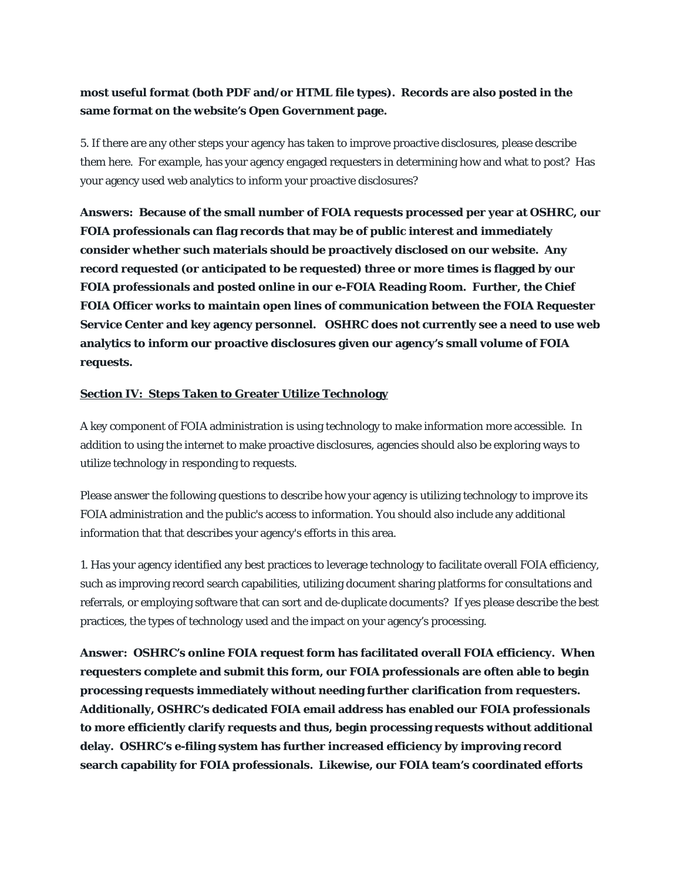## **most useful format (both PDF and/or HTML file types). Records are also posted in the same format on the website's Open Government page.**

5. If there are any other steps your agency has taken to improve proactive disclosures, please describe them here. For example, has your agency engaged requesters in determining how and what to post? Has your agency used web analytics to inform your proactive disclosures?

**Answers: Because of the small number of FOIA requests processed per year at OSHRC, our FOIA professionals can flag records that may be of public interest and immediately consider whether such materials should be proactively disclosed on our website. Any record requested (or anticipated to be requested) three or more times is flagged by our FOIA professionals and posted online in our e-FOIA Reading Room. Further, the Chief FOIA Officer works to maintain open lines of communication between the FOIA Requester Service Center and key agency personnel. OSHRC does not currently see a need to use web analytics to inform our proactive disclosures given our agency's small volume of FOIA requests.** 

## **Section IV: Steps Taken to Greater Utilize Technology**

A key component of FOIA administration is using technology to make information more accessible. In addition to using the internet to make proactive disclosures, agencies should also be exploring ways to utilize technology in responding to requests.

Please answer the following questions to describe how your agency is utilizing technology to improve its FOIA administration and the public's access to information. You should also include any additional information that that describes your agency's efforts in this area.

1. Has your agency identified any best practices to leverage technology to facilitate overall FOIA efficiency, such as improving record search capabilities, utilizing document sharing platforms for consultations and referrals, or employing software that can sort and de-duplicate documents? If yes please describe the best practices, the types of technology used and the impact on your agency's processing.

**Answer: OSHRC's online FOIA request form has facilitated overall FOIA efficiency. When requesters complete and submit this form, our FOIA professionals are often able to begin processing requests immediately without needing further clarification from requesters. Additionally, OSHRC's dedicated FOIA email address has enabled our FOIA professionals to more efficiently clarify requests and thus, begin processing requests without additional delay. OSHRC's e-filing system has further increased efficiency by improving record search capability for FOIA professionals. Likewise, our FOIA team's coordinated efforts**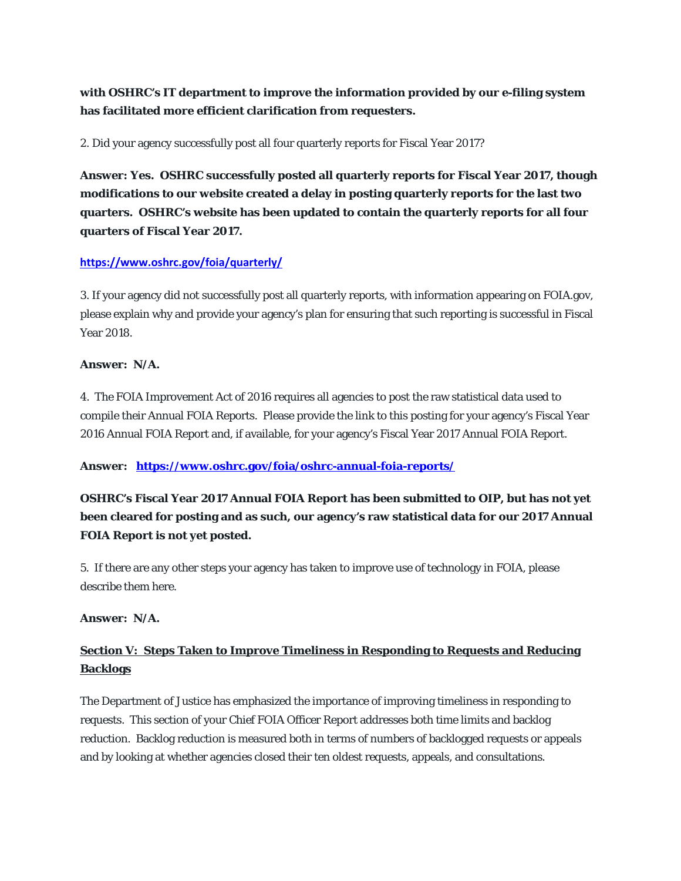**with OSHRC's IT department to improve the information provided by our e-filing system has facilitated more efficient clarification from requesters.**

2. Did your agency successfully post all four quarterly reports for Fiscal Year 2017?

**Answer: Yes. OSHRC successfully posted all quarterly reports for Fiscal Year 2017, though modifications to our website created a delay in posting quarterly reports for the last two quarters. OSHRC's website has been updated to contain the quarterly reports for all four quarters of Fiscal Year 2017.** 

## **<https://www.oshrc.gov/foia/quarterly/>**

3. If your agency did not successfully post all quarterly reports, with information appearing on FOIA.gov, please explain why and provide your agency's plan for ensuring that such reporting is successful in Fiscal Year 2018.

#### **Answer: N/A.**

4. The FOIA Improvement Act of 2016 requires all agencies to post the raw statistical data used to compile their Annual FOIA Reports. Please provide the link to this posting for your agency's Fiscal Year 2016 Annual FOIA Report and, if available, for your agency's Fiscal Year 2017 Annual FOIA Report.

#### **Answer: <https://www.oshrc.gov/foia/oshrc-annual-foia-reports/>**

**OSHRC's Fiscal Year 2017 Annual FOIA Report has been submitted to OIP, but has not yet been cleared for posting and as such, our agency's raw statistical data for our 2017 Annual FOIA Report is not yet posted.** 

5. If there are any other steps your agency has taken to improve use of technology in FOIA, please describe them here.

#### **Answer: N/A.**

# **Section V: Steps Taken to Improve Timeliness in Responding to Requests and Reducing Backlogs**

The Department of Justice has emphasized the importance of improving timeliness in responding to requests. This section of your Chief FOIA Officer Report addresses both time limits and backlog reduction. Backlog reduction is measured both in terms of numbers of backlogged requests or appeals and by looking at whether agencies closed their ten oldest requests, appeals, and consultations.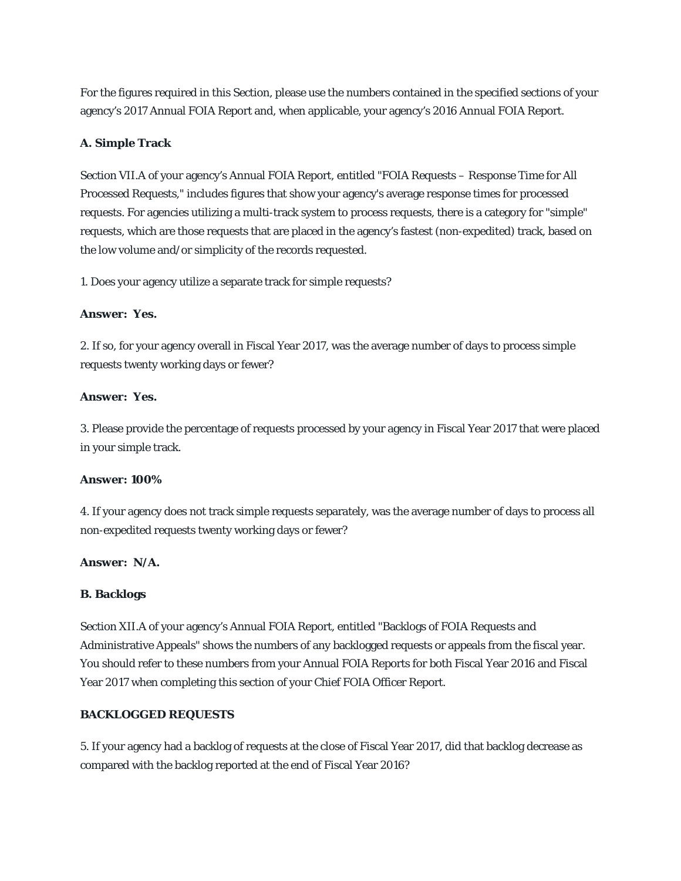For the figures required in this Section, please use the numbers contained in the specified sections of your agency's 2017 Annual FOIA Report and, when applicable, your agency's 2016 Annual FOIA Report.

## **A. Simple Track**

Section VII.A of your agency's Annual FOIA Report, entitled "FOIA Requests – Response Time for All Processed Requests," includes figures that show your agency's average response times for processed requests. For agencies utilizing a multi-track system to process requests, there is a category for "simple" requests, which are those requests that are placed in the agency's fastest (non-expedited) track, based on the low volume and/or simplicity of the records requested.

1. Does your agency utilize a separate track for simple requests?

#### **Answer: Yes.**

2. If so, for your agency overall in Fiscal Year 2017, was the average number of days to process simple requests twenty working days or fewer?

#### **Answer: Yes.**

3. Please provide the percentage of requests processed by your agency in Fiscal Year 2017 that were placed in your simple track.

#### **Answer: 100%**

4. If your agency does not track simple requests separately, was the average number of days to process all non-expedited requests twenty working days or fewer?

#### **Answer: N/A.**

#### **B. Backlogs**

Section XII.A of your agency's Annual FOIA Report, entitled "Backlogs of FOIA Requests and Administrative Appeals" shows the numbers of any backlogged requests or appeals from the fiscal year. You should refer to these numbers from your Annual FOIA Reports for both Fiscal Year 2016 and Fiscal Year 2017 when completing this section of your Chief FOIA Officer Report.

#### **BACKLOGGED REQUESTS**

5. If your agency had a backlog of requests at the close of Fiscal Year 2017, did that backlog decrease as compared with the backlog reported at the end of Fiscal Year 2016?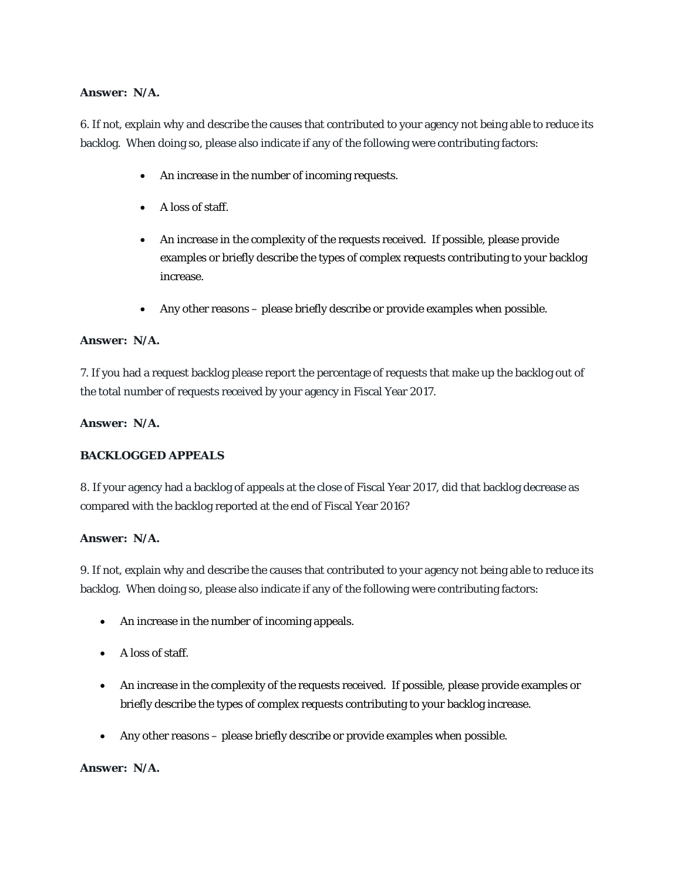## **Answer: N/A.**

6. If not, explain why and describe the causes that contributed to your agency not being able to reduce its backlog. When doing so, please also indicate if any of the following were contributing factors:

- An increase in the number of incoming requests.
- A loss of staff.
- An increase in the complexity of the requests received. If possible, please provide examples or briefly describe the types of complex requests contributing to your backlog increase.
- Any other reasons please briefly describe or provide examples when possible.

### **Answer: N/A.**

7. If you had a request backlog please report the percentage of requests that make up the backlog out of the total number of requests received by your agency in Fiscal Year 2017.

### **Answer: N/A.**

## **BACKLOGGED APPEALS**

8. If your agency had a backlog of appeals at the close of Fiscal Year 2017, did that backlog decrease as compared with the backlog reported at the end of Fiscal Year 2016?

## **Answer: N/A.**

9. If not, explain why and describe the causes that contributed to your agency not being able to reduce its backlog. When doing so, please also indicate if any of the following were contributing factors:

- An increase in the number of incoming appeals.
- A loss of staff.
- An increase in the complexity of the requests received. If possible, please provide examples or briefly describe the types of complex requests contributing to your backlog increase.
- Any other reasons please briefly describe or provide examples when possible.

#### **Answer: N/A.**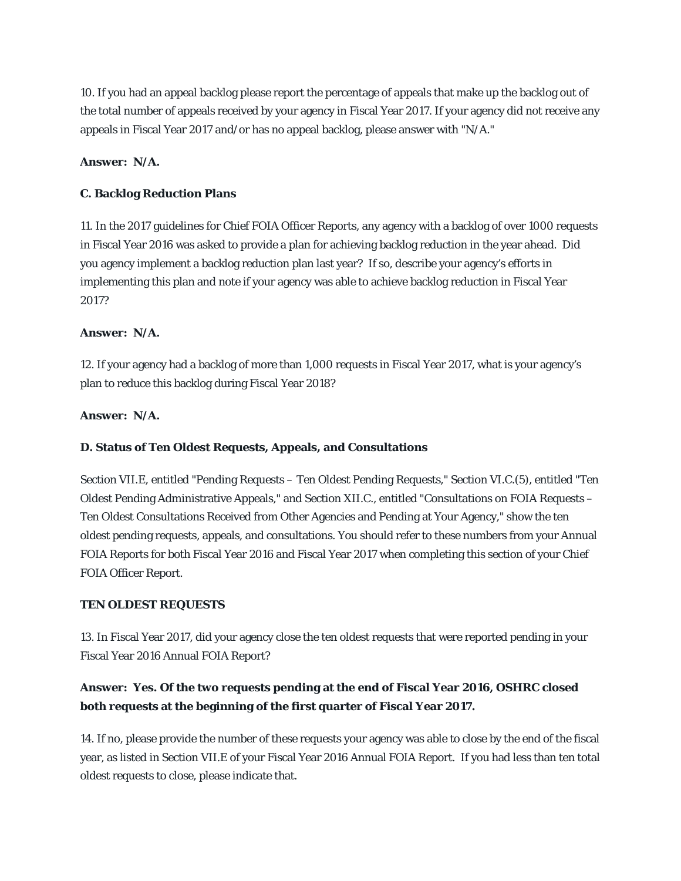10. If you had an appeal backlog please report the percentage of appeals that make up the backlog out of the total number of appeals received by your agency in Fiscal Year 2017. If your agency did not receive any appeals in Fiscal Year 2017 and/or has no appeal backlog, please answer with "N/A."

## **Answer: N/A.**

### **C. Backlog Reduction Plans**

11. In the 2017 guidelines for Chief FOIA Officer Reports, any agency with a backlog of over 1000 requests in Fiscal Year 2016 was asked to provide a plan for achieving backlog reduction in the year ahead. Did you agency implement a backlog reduction plan last year? If so, describe your agency's efforts in implementing this plan and note if your agency was able to achieve backlog reduction in Fiscal Year 2017?

### **Answer: N/A.**

12. If your agency had a backlog of more than 1,000 requests in Fiscal Year 2017, what is your agency's plan to reduce this backlog during Fiscal Year 2018?

## **Answer: N/A.**

## **D. Status of Ten Oldest Requests, Appeals, and Consultations**

Section VII.E, entitled "Pending Requests – Ten Oldest Pending Requests," Section VI.C.(5), entitled "Ten Oldest Pending Administrative Appeals," and Section XII.C., entitled "Consultations on FOIA Requests – Ten Oldest Consultations Received from Other Agencies and Pending at Your Agency," show the ten oldest pending requests, appeals, and consultations. You should refer to these numbers from your Annual FOIA Reports for both Fiscal Year 2016 and Fiscal Year 2017 when completing this section of your Chief FOIA Officer Report.

#### **TEN OLDEST REQUESTS**

13. In Fiscal Year 2017, did your agency close the ten oldest requests that were reported pending in your Fiscal Year 2016 Annual FOIA Report?

# **Answer: Yes. Of the two requests pending at the end of Fiscal Year 2016, OSHRC closed both requests at the beginning of the first quarter of Fiscal Year 2017.**

14. If no, please provide the number of these requests your agency was able to close by the end of the fiscal year, as listed in Section VII.E of your Fiscal Year 2016 Annual FOIA Report. If you had less than ten total oldest requests to close, please indicate that.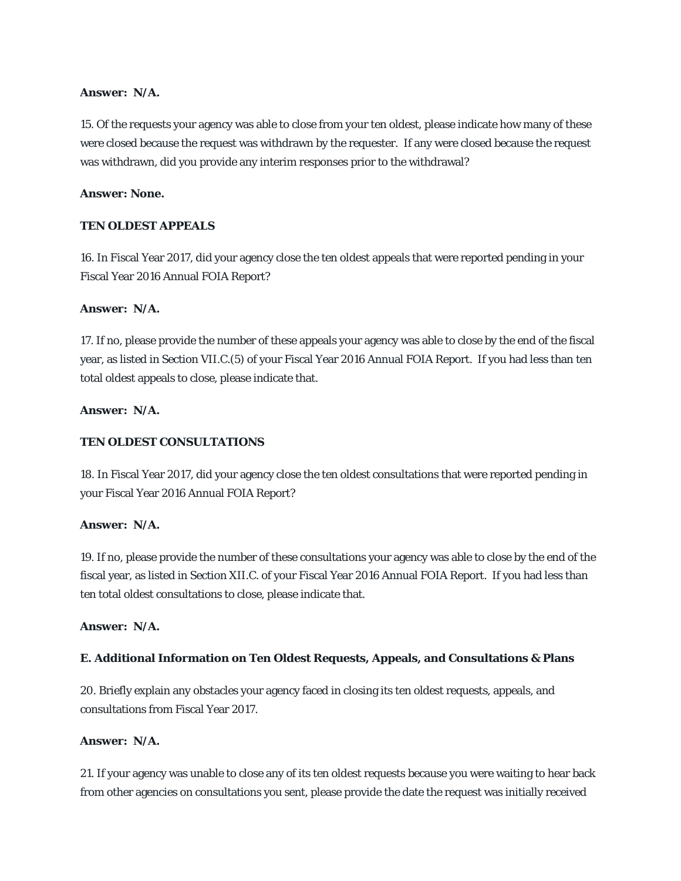### **Answer: N/A.**

15. Of the requests your agency was able to close from your ten oldest, please indicate how many of these were closed because the request was withdrawn by the requester. If any were closed because the request was withdrawn, did you provide any interim responses prior to the withdrawal?

### **Answer: None.**

## **TEN OLDEST APPEALS**

16. In Fiscal Year 2017, did your agency close the ten oldest appeals that were reported pending in your Fiscal Year 2016 Annual FOIA Report?

### **Answer: N/A.**

17. If no, please provide the number of these appeals your agency was able to close by the end of the fiscal year, as listed in Section VII.C.(5) of your Fiscal Year 2016 Annual FOIA Report. If you had less than ten total oldest appeals to close, please indicate that.

## **Answer: N/A.**

## **TEN OLDEST CONSULTATIONS**

18. In Fiscal Year 2017, did your agency close the ten oldest consultations that were reported pending in your Fiscal Year 2016 Annual FOIA Report?

#### **Answer: N/A.**

19. If no, please provide the number of these consultations your agency was able to close by the end of the fiscal year, as listed in Section XII.C. of your Fiscal Year 2016 Annual FOIA Report. If you had less than ten total oldest consultations to close, please indicate that.

### **Answer: N/A.**

## **E. Additional Information on Ten Oldest Requests, Appeals, and Consultations & Plans**

20. Briefly explain any obstacles your agency faced in closing its ten oldest requests, appeals, and consultations from Fiscal Year 2017.

## **Answer: N/A.**

21. If your agency was unable to close any of its ten oldest requests because you were waiting to hear back from other agencies on consultations you sent, please provide the date the request was initially received